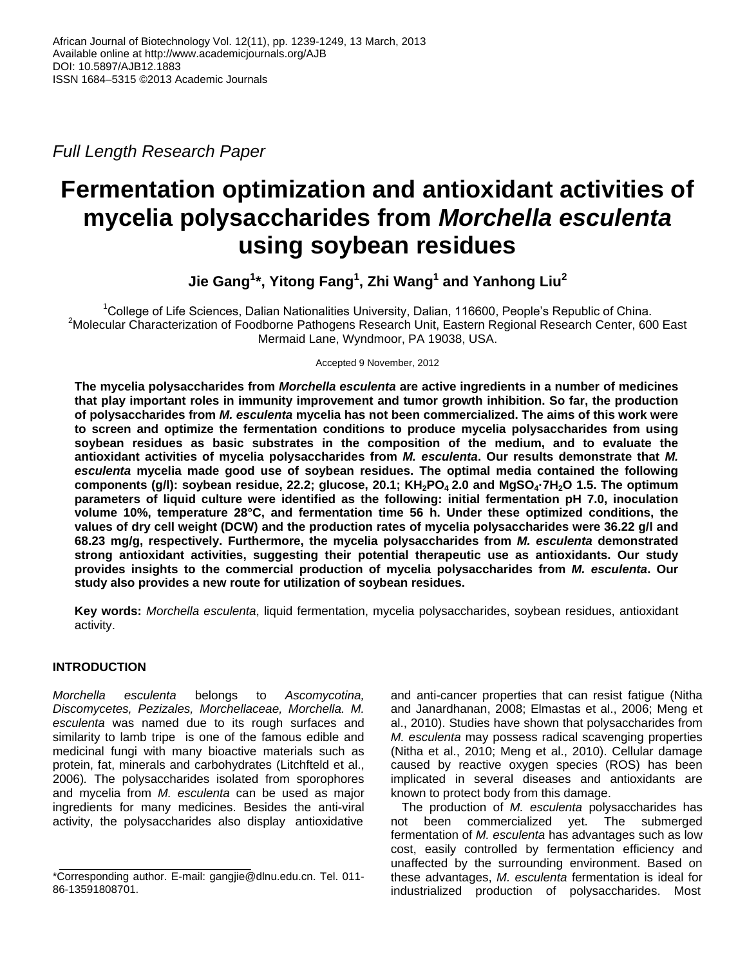*Full Length Research Paper*

# **Fermentation optimization and antioxidant activities of mycelia polysaccharides from** *Morchella esculenta* **using soybean residues**

**Jie Gang<sup>1</sup> \*, Yitong Fang<sup>1</sup> , Zhi Wang<sup>1</sup> and Yanhong Liu<sup>2</sup>**

<sup>1</sup>College of Life Sciences, Dalian Nationalities University, Dalian, 116600, People's Republic of China. <sup>2</sup>Molecular Characterization of Foodborne Pathogens Research Unit, Eastern Regional Research Center, 600 East Mermaid Lane, Wyndmoor, PA 19038, USA.

Accepted 9 November, 2012

**The mycelia polysaccharides from** *Morchella esculenta* **are active ingredients in a number of medicines that play important roles in immunity improvement and tumor growth inhibition. So far, the production of polysaccharides from** *M. esculenta* **mycelia has not been commercialized. The aims of this work were to screen and optimize the fermentation conditions to produce mycelia polysaccharides from using soybean residues as basic substrates in the composition of the medium, and to evaluate the antioxidant activities of mycelia polysaccharides from** *M. esculenta***. Our results demonstrate that** *M. esculenta* **mycelia made good use of soybean residues. The optimal media contained the following components (g/l): soybean residue, 22.2; glucose, 20.1; KH2PO4 2.0 and MgSO4·7H2O 1.5. The optimum parameters of liquid culture were identified as the following: initial fermentation pH 7.0, inoculation volume 10%, temperature 28°C, and fermentation time 56 h. Under these optimized conditions, the values of dry cell weight (DCW) and the production rates of mycelia polysaccharides were 36.22 g/l and 68.23 mg/g, respectively. Furthermore, the mycelia polysaccharides from** *M. esculenta* **demonstrated strong antioxidant activities, suggesting their potential therapeutic use as antioxidants. Our study provides insights to the commercial production of mycelia polysaccharides from** *M. esculenta***. Our study also provides a new route for utilization of soybean residues.**

**Key words:** *Morchella esculenta*, liquid fermentation, mycelia polysaccharides, soybean residues, antioxidant activity.

## **INTRODUCTION**

*Morchella esculenta* belongs to *Ascomycotina, Discomycetes, Pezizales, Morchellaceae, Morchella. M. esculenta* was named due to its rough surfaces and similarity to lamb tripe is one of the famous edible and medicinal fungi with many bioactive materials such as protein, fat, minerals and carbohydrates (Litchfteld et al., 2006)*.* The polysaccharides isolated from sporophores and mycelia from *M. esculenta* can be used as major ingredients for many medicines. Besides the anti-viral activity, the polysaccharides also display antioxidative

and anti-cancer properties that can resist fatigue (Nitha and Janardhanan, 2008; Elmastas et al., 2006; Meng et al., 2010). Studies have shown that polysaccharides from *M. esculenta* may possess radical scavenging properties (Nitha et al., 2010; Meng et al., 2010). Cellular damage caused by reactive oxygen species (ROS) has been implicated in several diseases and antioxidants are known to protect body from this damage.

The production of *M. esculenta* polysaccharides has not been commercialized yet. The submerged fermentation of *M. esculenta* has advantages such as low cost, easily controlled by fermentation efficiency and unaffected by the surrounding environment. Based on these advantages, *M. esculenta* fermentation is ideal for industrialized production of polysaccharides. Most

<sup>\*</sup>Corresponding author. E-mail: gangjie@dlnu.edu.cn. Tel. 011- 86-13591808701.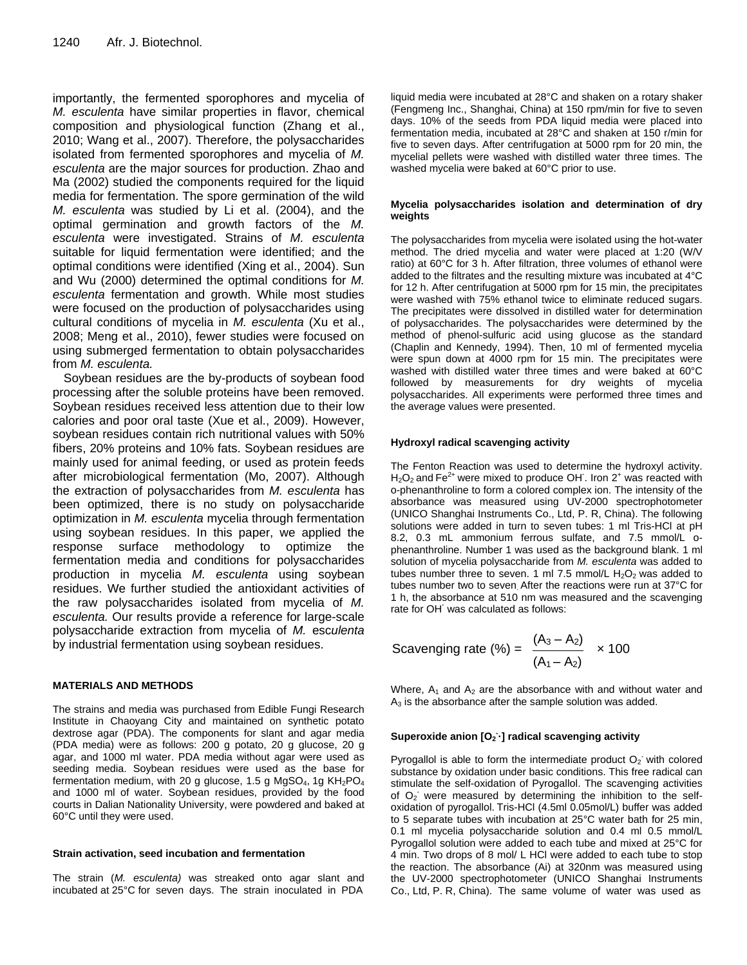importantly, the fermented sporophores and mycelia of *M. esculenta* have similar properties in flavor, chemical composition and physiological function (Zhang et al., 2010; Wang et al., 2007). Therefore, the polysaccharides isolated from fermented sporophores and mycelia of *M. esculenta* are the major sources for production. Zhao and Ma (2002) studied the components required for the liquid media for fermentation. The spore germination of the wild *M. esculenta* was studied by Li et al. (2004), and the optimal germination and growth factors of the *M. esculenta* were investigated. Strains of *M. esculenta*  suitable for liquid fermentation were identified; and the optimal conditions were identified (Xing et al., 2004). Sun and Wu (2000) determined the optimal conditions for *M. esculenta* fermentation and growth. While most studies were focused on the production of polysaccharides using cultural conditions of mycelia in *M. esculenta* (Xu et al., 2008; Meng et al., 2010), fewer studies were focused on using submerged fermentation to obtain polysaccharides from *M. esculenta.*

Soybean residues are the by-products of soybean food processing after the soluble proteins have been removed. Soybean residues received less attention due to their low calories and poor oral taste (Xue et al., 2009). However, soybean residues contain rich nutritional values with 50% fibers, 20% proteins and 10% fats. Soybean residues are mainly used for animal feeding, or used as protein feeds after microbiological fermentation (Mo, 2007). Although the extraction of polysaccharides from *M. esculenta* has been optimized, there is no study on polysaccharide optimization in *M. esculenta* mycelia through fermentation using soybean residues. In this paper, we applied the response surface methodology to optimize the fermentation media and conditions for polysaccharides production in mycelia *M. esculenta* using soybean residues. We further studied the antioxidant activities of the raw polysaccharides isolated from mycelia of *M. esculenta.* Our results provide a reference for large-scale polysaccharide extraction from mycelia of *M.* esc*ulenta*  by industrial fermentation using soybean residues.

### **MATERIALS AND METHODS**

The strains and media was purchased from Edible Fungi Research Institute in Chaoyang City and maintained on synthetic potato dextrose agar (PDA). The components for slant and agar media (PDA media) were as follows: 200 g potato, 20 g glucose, 20 g agar, and 1000 ml water. PDA media without agar were used as seeding media. Soybean residues were used as the base for fermentation medium, with 20 g glucose, 1.5 g MgSO<sub>4</sub>, 1g  $KH<sub>2</sub>PO<sub>4</sub>$ and 1000 ml of water. Soybean residues, provided by the food courts in Dalian Nationality University, were powdered and baked at 60°C until they were used.

#### **Strain activation, seed incubation and fermentation**

The strain (*M. esculenta)* was streaked onto agar slant and incubated at 25°C for seven days. The strain inoculated in PDA

liquid media were incubated at 28°C and shaken on a rotary shaker (Fengmeng Inc., Shanghai, China) at 150 rpm/min for five to seven days. 10% of the seeds from PDA liquid media were placed into fermentation media, incubated at 28°C and shaken at 150 r/min for five to seven days. After centrifugation at 5000 rpm for 20 min, the mycelial pellets were washed with distilled water three times. The washed mycelia were baked at 60°C prior to use.

#### **Mycelia polysaccharides isolation and determination of dry weights**

The polysaccharides from mycelia were isolated using the hot-water method. The dried mycelia and water were placed at 1:20 (W/V ratio) at 60°C for 3 h. After filtration, three volumes of ethanol were added to the filtrates and the resulting mixture was incubated at 4°C for 12 h. After centrifugation at 5000 rpm for 15 min, the precipitates were washed with 75% ethanol twice to eliminate reduced sugars. The precipitates were dissolved in distilled water for determination of polysaccharides. The polysaccharides were determined by the method of phenol-sulfuric acid using glucose as the standard (Chaplin and Kennedy, 1994). Then, 10 ml of fermented mycelia were spun down at 4000 rpm for 15 min. The precipitates were washed with distilled water three times and were baked at 60°C followed by measurements for dry weights of mycelia polysaccharides. All experiments were performed three times and the average values were presented.

#### **Hydroxyl radical scavenging activity**

The Fenton Reaction was used to determine the hydroxyl activity. H<sub>2</sub>O<sub>2</sub> and Fe<sup>2+</sup> were mixed to produce OH'. Iron 2<sup>+</sup> was reacted with o-phenanthroline to form a colored complex ion. The intensity of the absorbance was measured using UV-2000 spectrophotometer (UNICO Shanghai Instruments Co., Ltd, P. R, China). The following solutions were added in turn to seven tubes: 1 ml Tris-HCl at pH 8.2, 0.3 mL ammonium ferrous sulfate, and 7.5 mmol/L ophenanthroline. Number 1 was used as the background blank. 1 ml solution of mycelia polysaccharide from *M. esculenta* was added to tubes number three to seven. 1 ml 7.5 mmol/L  $H_2O_2$  was added to tubes number two to seven. After the reactions were run at 37°C for 1 h, the absorbance at 510 nm was measured and the scavenging rate for OH<sup>·</sup> was calculated as follows:

Scavending rate (%) = 
$$
\frac{(A_3 - A_2)}{(A_1 - A_2)} \times 100
$$

Where,  $A_1$  and  $A_2$  are the absorbance with and without water and  $A<sub>3</sub>$  is the absorbance after the sample solution was added.

#### **Superoxide anion [O<sup>2</sup> - ·] radical scavenging activity**

Pyrogallol is able to form the intermediate product  $O_2$  with colored substance by oxidation under basic conditions. This free radical can stimulate the self-oxidation of Pyrogallol. The scavenging activities of  $O<sub>2</sub>$  were measured by determining the inhibition to the selfoxidation of pyrogallol. Tris-HCl (4.5ml 0.05mol/L) buffer was added to 5 separate tubes with incubation at 25°C water bath for 25 min, 0.1 ml mycelia polysaccharide solution and 0.4 ml 0.5 mmol/L Pyrogallol solution were added to each tube and mixed at 25°C for 4 min. Two drops of 8 mol/ L HCl were added to each tube to stop the reaction. The absorbance (Ai) at 320nm was measured using the UV-2000 spectrophotometer (UNICO Shanghai Instruments Co., Ltd, P. R, China). The same volume of water was used as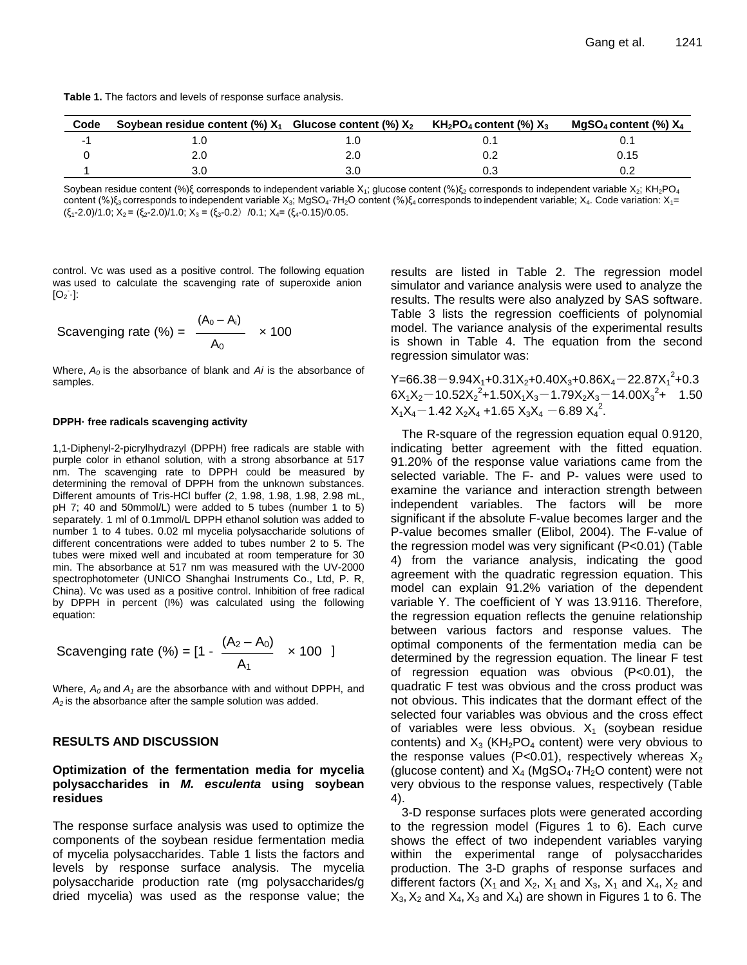| Table 1. The factors and levels of response surface analysis. |  |  |
|---------------------------------------------------------------|--|--|
|---------------------------------------------------------------|--|--|

| Code | Soybean residue content (%) $X_1$ Glucose content (%) $X_2$ KH <sub>2</sub> PO <sub>4</sub> content (%) $X_3$ |     | MgSO <sub>4</sub> content (%) $X_4$ |
|------|---------------------------------------------------------------------------------------------------------------|-----|-------------------------------------|
|      |                                                                                                               |     |                                     |
|      |                                                                                                               |     | 0.15                                |
|      |                                                                                                               | 0.3 |                                     |

Soybean residue content (%)ξ corresponds to independent variable X<sub>1</sub>; glucose content (%)ξ<sub>2</sub> corresponds to independent variable X<sub>2</sub>; KH<sub>2</sub>PO<sub>4</sub> content (%)ξ<sub>3</sub> corresponds to independent variable X<sub>3</sub>; MgSO<sub>4</sub>·7H<sub>2</sub>O content (%)ξ<sub>4</sub> corresponds to independent variable; X<sub>4</sub>. Code variation: X<sub>1</sub>=  $(\xi_1 - 2.0)/1.0$ ;  $X_2 = (\xi_2 - 2.0)/1.0$ ;  $X_3 = (\xi_3 - 0.2)/0.1$ ;  $X_4 = (\xi_4 - 0.15)/0.05$ .

control. Vc was used as a positive control. The following equation was used to calculate the scavenging rate of superoxide anion  $[O_2]$ :

Scavending rate (%) = 
$$
\frac{(A_0 - A_i)}{A_0} \times 100
$$

Where,  $A_0$  is the absorbance of blank and *Ai* is the absorbance of samples.

#### **DPPH· free radicals scavenging activity**

1,1-Diphenyl-2-picrylhydrazyl (DPPH) free radicals are stable with purple color in ethanol solution, with a strong absorbance at 517 nm. The scavenging rate to DPPH could be measured by determining the removal of DPPH from the unknown substances. Different amounts of Tris-HCl buffer (2, 1.98, 1.98, 1.98, 2.98 mL, pH 7; 40 and 50mmol/L) were added to 5 tubes (number 1 to 5) separately. 1 ml of 0.1mmol/L DPPH ethanol solution was added to number 1 to 4 tubes. 0.02 ml mycelia polysaccharide solutions of different concentrations were added to tubes number 2 to 5. The tubes were mixed well and incubated at room temperature for 30 min. The absorbance at 517 nm was measured with the UV-2000 spectrophotometer (UNICO Shanghai Instruments Co., Ltd, P. R, China). Vc was used as a positive control. Inhibition of free radical by DPPH in percent (I%) was calculated using the following equation:

Scavending rate (%) = 
$$
[1 - \frac{(A_2 - A_0)}{A_1} \times 100]
$$

Where, *A0* and *A1* are the absorbance with and without DPPH, and *A2* is the absorbance after the sample solution was added.

#### **RESULTS AND DISCUSSION**

## **Optimization of the fermentation media for mycelia polysaccharides in** *M. esculenta* **using soybean residues**

The response surface analysis was used to optimize the components of the soybean residue fermentation media of mycelia polysaccharides. Table 1 lists the factors and levels by response surface analysis. The mycelia polysaccharide production rate (mg polysaccharides/g dried mycelia) was used as the response value; the results are listed in Table 2. The regression model simulator and variance analysis were used to analyze the results. The results were also analyzed by SAS software. Table 3 lists the regression coefficients of polynomial model. The variance analysis of the experimental results is shown in Table 4. The equation from the second regression simulator was:

 $Y=66.38-9.94X_1+0.31X_2+0.40X_3+0.86X_4-22.87X_1^2+0.3$  $6X_1X_2 - 10.52X_2^2 + 1.50X_1X_3 - 1.79X_2X_3 - 14.00X_3^2 + 1.50$  $X_1X_4$  – 1.42  $X_2X_4$  + 1.65  $X_3X_4$  – 6.89  $X_4^2$ .

The R-square of the regression equation equal 0.9120, indicating better agreement with the fitted equation. 91.20% of the response value variations came from the selected variable. The F- and P- values were used to examine the variance and interaction strength between independent variables. The factors will be more significant if the absolute F-value becomes larger and the P-value becomes smaller (Elibol, 2004). The F-value of the regression model was very significant (P<0.01) (Table 4) from the variance analysis, indicating the good agreement with the quadratic regression equation. This model can explain 91.2% variation of the dependent variable Y. The coefficient of Y was 13.9116. Therefore, the regression equation reflects the genuine relationship between various factors and response values. The optimal components of the fermentation media can be determined by the regression equation. The linear F test of regression equation was obvious (P<0.01), the quadratic F test was obvious and the cross product was not obvious. This indicates that the dormant effect of the selected four variables was obvious and the cross effect of variables were less obvious.  $X_1$  (soybean residue contents) and  $X_3$  (KH<sub>2</sub>PO<sub>4</sub> content) were very obvious to the response values (P<0.01), respectively whereas  $X_2$ (glucose content) and  $X_4$  (MgSO<sub>4</sub> $-7H_2O$  content) were not very obvious to the response values, respectively (Table 4).

3-D response surfaces plots were generated according to the regression model (Figures 1 to 6). Each curve shows the effect of two independent variables varying within the experimental range of polysaccharides production. The 3-D graphs of response surfaces and different factors  $(X_1$  and  $X_2$ ,  $X_1$  and  $X_3$ ,  $X_1$  and  $X_4$ ,  $X_2$  and  $X_3$ ,  $X_2$  and  $X_4$ ,  $X_3$  and  $X_4$ ) are shown in Figures 1 to 6. The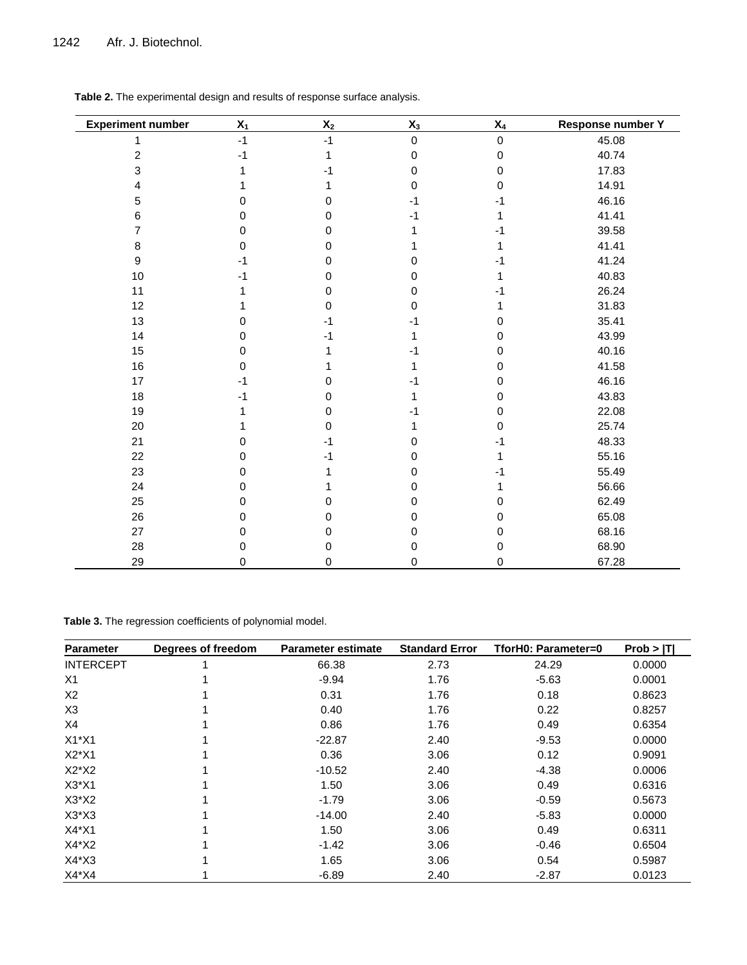| <b>Experiment number</b> | $X_1$    | $\mathsf{X}_2$ | $X_3$            | $\mathsf{X}_4$ | Response number Y |
|--------------------------|----------|----------------|------------------|----------------|-------------------|
| 1                        | $-1$     | $-1$           | $\mathbf 0$      | $\mathsf 0$    | 45.08             |
| $\boldsymbol{2}$         | $-1$     | 1              | $\boldsymbol{0}$ | 0              | 40.74             |
| 3                        |          | -1             | 0                | 0              | 17.83             |
| 4                        |          |                | 0                | 0              | 14.91             |
| 5                        | 0        | 0              | $-1$             | -1             | 46.16             |
| 6                        | 0        | 0              | -1               | 1              | 41.41             |
| 7                        | 0        | 0              |                  | -1             | 39.58             |
| 8                        | $\Omega$ | 0              |                  | 1              | 41.41             |
| $\boldsymbol{9}$         | -1       | 0              | 0                | -1             | 41.24             |
| $10$                     |          | 0              | 0                | 1              | 40.83             |
| 11                       |          | 0              | 0                |                | 26.24             |
| 12                       |          | 0              | 0                |                | 31.83             |
| 13                       | 0        | $-1$           | -1               | 0              | 35.41             |
| 14                       | $\Omega$ | $-1$           |                  | 0              | 43.99             |
| 15                       | 0        |                |                  | 0              | 40.16             |
| 16                       | 0        |                |                  | 0              | 41.58             |
| 17                       | $-1$     | $\mathbf 0$    |                  | 0              | 46.16             |
| 18                       | -1       | 0              |                  | 0              | 43.83             |
| 19                       |          | 0              |                  | 0              | 22.08             |
| 20                       |          | 0              |                  | 0              | 25.74             |
| 21                       | 0        | -1             | 0                | -1             | 48.33             |
| 22                       | 0        | -1             | 0                | 1              | 55.16             |
| 23                       | 0        |                | 0                | -1             | 55.49             |
| 24                       | 0        |                | 0                |                | 56.66             |
| 25                       | 0        | 0              | 0                | 0              | 62.49             |
| 26                       | 0        | 0              | 0                | 0              | 65.08             |
| 27                       | 0        | 0              | 0                | 0              | 68.16             |
| 28                       | 0        | 0              | 0                | 0              | 68.90             |
| 29                       | 0        | 0              | 0                | 0              | 67.28             |

**Table 2.** The experimental design and results of response surface analysis.

**Table 3.** The regression coefficients of polynomial model.

| <b>Parameter</b> | Degrees of freedom | <b>Parameter estimate</b> | <b>Standard Error</b> | TforH0: Parameter=0 | Prob >  T |
|------------------|--------------------|---------------------------|-----------------------|---------------------|-----------|
| <b>INTERCEPT</b> |                    | 66.38                     | 2.73                  | 24.29               | 0.0000    |
| X1               |                    | $-9.94$                   | 1.76                  | $-5.63$             | 0.0001    |
| X2               |                    | 0.31                      | 1.76                  | 0.18                | 0.8623    |
| X <sub>3</sub>   |                    | 0.40                      | 1.76                  | 0.22                | 0.8257    |
| X4               |                    | 0.86                      | 1.76                  | 0.49                | 0.6354    |
| $X1^*X1$         |                    | $-22.87$                  | 2.40                  | $-9.53$             | 0.0000    |
| $X2^*X1$         |                    | 0.36                      | 3.06                  | 0.12                | 0.9091    |
| $X2^*X2$         |                    | $-10.52$                  | 2.40                  | $-4.38$             | 0.0006    |
| $X3*X1$          |                    | 1.50                      | 3.06                  | 0.49                | 0.6316    |
| $X3^*X2$         |                    | $-1.79$                   | 3.06                  | $-0.59$             | 0.5673    |
| $X3^*X3$         |                    | $-14.00$                  | 2.40                  | $-5.83$             | 0.0000    |
| $X4*X1$          |                    | 1.50                      | 3.06                  | 0.49                | 0.6311    |
| $X4^*X2$         |                    | $-1.42$                   | 3.06                  | $-0.46$             | 0.6504    |
| $X4^*X3$         |                    | 1.65                      | 3.06                  | 0.54                | 0.5987    |
| $X4^*X4$         |                    | $-6.89$                   | 2.40                  | $-2.87$             | 0.0123    |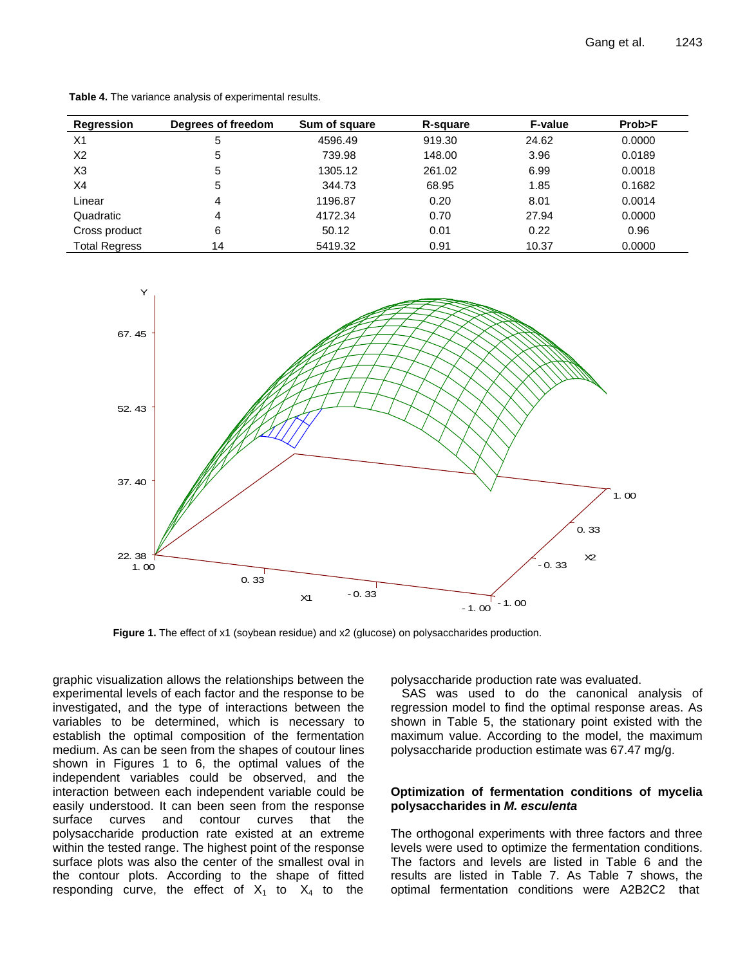| Regression           | Degrees of freedom | Sum of square | R-square | <b>F-value</b> | Prob>F |
|----------------------|--------------------|---------------|----------|----------------|--------|
| X1                   | 5                  | 4596.49       | 919.30   | 24.62          | 0.0000 |
| X <sub>2</sub>       | 5                  | 739.98        | 148.00   | 3.96           | 0.0189 |
| X <sub>3</sub>       | 5                  | 1305.12       | 261.02   | 6.99           | 0.0018 |
| X4                   | 5                  | 344.73        | 68.95    | 1.85           | 0.1682 |
| Linear               | 4                  | 1196.87       | 0.20     | 8.01           | 0.0014 |
| Quadratic            | 4                  | 4172.34       | 0.70     | 27.94          | 0.0000 |
| Cross product        | 6                  | 50.12         | 0.01     | 0.22           | 0.96   |
| <b>Total Regress</b> | 14                 | 5419.32       | 0.91     | 10.37          | 0.0000 |

**Table 4.** The variance analysis of experimental results.



**Figure 1.** The effect of x1 (soybean residue) and x2 (glucose) on polysaccharides production.

graphic visualization allows the relationships between the experimental levels of each factor and the response to be investigated, and the type of interactions between the variables to be determined, which is necessary to establish the optimal composition of the fermentation medium. As can be seen from the shapes of coutour lines shown in Figures 1 to 6, the optimal values of the independent variables could be observed, and the interaction between each independent variable could be easily understood. It can been seen from the response surface curves and contour curves that the polysaccharide production rate existed at an extreme within the tested range. The highest point of the response surface plots was also the center of the smallest oval in the contour plots. According to the shape of fitted responding curve, the effect of  $X_1$  to  $X_4$  to the polysaccharide production rate was evaluated.

SAS was used to do the canonical analysis of regression model to find the optimal response areas. As shown in Table 5, the stationary point existed with the maximum value. According to the model, the maximum polysaccharide production estimate was 67.47 mg/g.

## **Optimization of fermentation conditions of mycelia polysaccharides in** *M. esculenta*

The orthogonal experiments with three factors and three levels were used to optimize the fermentation conditions. The factors and levels are listed in Table 6 and the results are listed in Table 7. As Table 7 shows, the optimal fermentation conditions were A2B2C2 that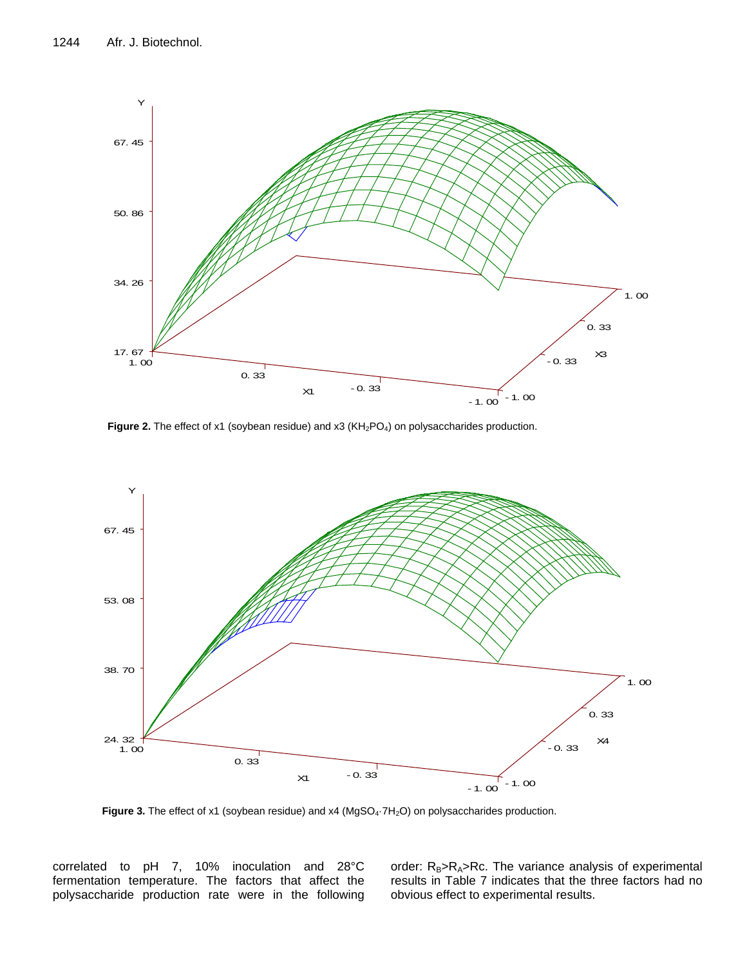

**Figure 2.** The effect of x1 (soybean residue) and x3 (KH<sub>2</sub>PO<sub>4</sub>) on polysaccharides production.



Figure 3. The effect of x1 (soybean residue) and x4 (MgSO<sub>4</sub>·7H<sub>2</sub>O) on polysaccharides production.

correlated to pH 7, 10% inoculation and 28°C fermentation temperature. The factors that affect the polysaccharide production rate were in the following order:  $R_B > R_A > Rc$ . The variance analysis of experimental results in Table 7 indicates that the three factors had no obvious effect to experimental results.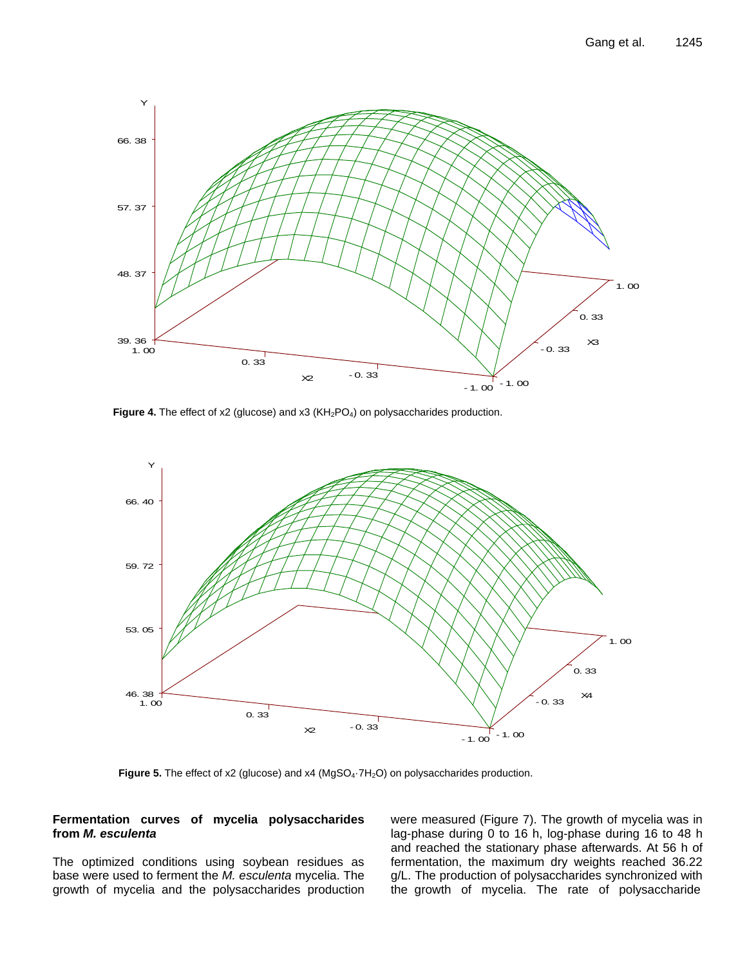

Figure 4. The effect of x2 (glucose) and x3 (KH<sub>2</sub>PO<sub>4</sub>) on polysaccharides production.



Figure 5. The effect of x2 (glucose) and x4 (MgSO<sub>4</sub>·7H<sub>2</sub>O) on polysaccharides production.

## **Fermentation curves of mycelia polysaccharides from** *M. esculenta*

The optimized conditions using soybean residues as base were used to ferment the *M. esculenta* mycelia. The growth of mycelia and the polysaccharides production were measured (Figure 7). The growth of mycelia was in lag-phase during 0 to 16 h, log-phase during 16 to 48 h and reached the stationary phase afterwards. At 56 h of fermentation, the maximum dry weights reached 36.22 g/L. The production of polysaccharides synchronized with the growth of mycelia. The rate of polysaccharide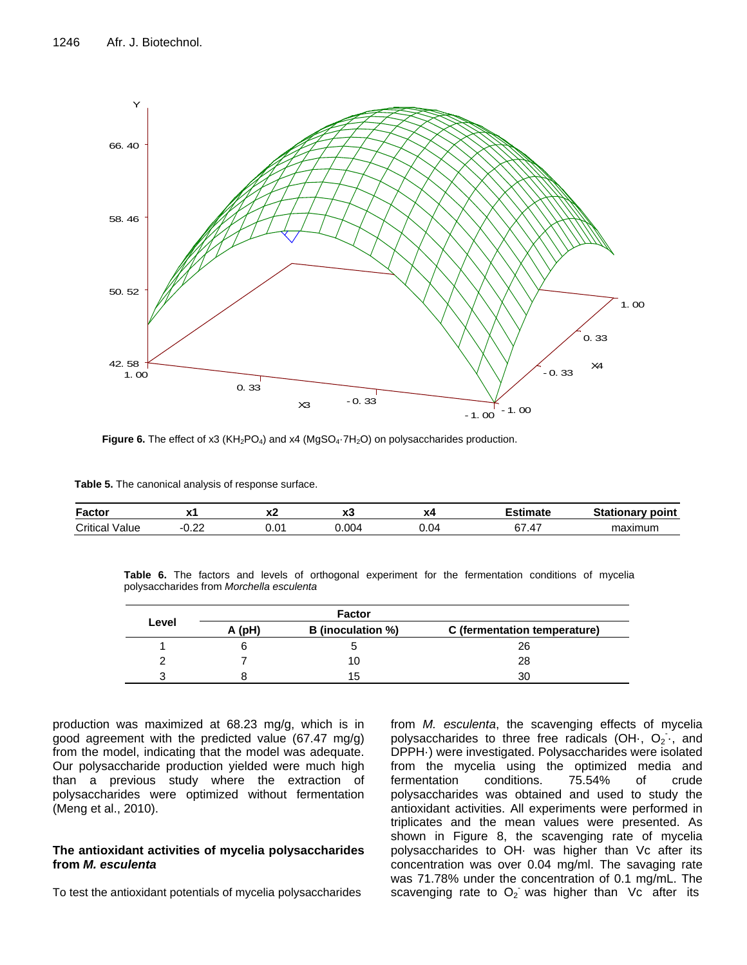

**Figure 6.** The effect of x3 (KH<sub>2</sub>PO<sub>4</sub>) and x4 (MgSO<sub>4</sub>·7H<sub>2</sub>O) on polysaccharides production.

**Table 5.** The canonical analysis of response surface.

| Factor            | ---<br>. .        | ^^             | ^~    | vЛ   | .<br>ıaı       | onary point<br>ationar<br>- Jla |
|-------------------|-------------------|----------------|-------|------|----------------|---------------------------------|
| Critical<br>Value | $\sim$<br><u></u> | $0.0^{\prime}$ | 400.ر | 0.04 | ົ<br>z<br>$+1$ | maximum                         |

**Table 6.** The factors and levels of orthogonal experiment for the fermentation conditions of mycelia polysaccharides from *Morchella esculenta*

|       |        | <b>Factor</b>            |                              |
|-------|--------|--------------------------|------------------------------|
| Level | A (pH) | <b>B</b> (inoculation %) | C (fermentation temperature) |
|       |        |                          | 26                           |
|       |        |                          | 28                           |
|       |        | 15                       | 30                           |

production was maximized at 68.23 mg/g, which is in good agreement with the predicted value (67.47 mg/g) from the model, indicating that the model was adequate. Our polysaccharide production yielded were much high than a previous study where the extraction of polysaccharides were optimized without fermentation (Meng et al., 2010).

## **The antioxidant activities of mycelia polysaccharides from** *M. esculenta*

To test the antioxidant potentials of mycelia polysaccharides

from *M. esculenta*, the scavenging effects of mycelia polysaccharides to three free radicals (OH  $, O<sub>2</sub>$  and DPPH·) were investigated. Polysaccharides were isolated from the mycelia using the optimized media and fermentation conditions. 75.54% of crude polysaccharides was obtained and used to study the antioxidant activities. All experiments were performed in triplicates and the mean values were presented. As shown in Figure 8, the scavenging rate of mycelia polysaccharides to OH· was higher than Vc after its concentration was over 0.04 mg/ml. The savaging rate was 71.78% under the concentration of 0.1 mg/mL. The scavenging rate to  $O_2$  was higher than Vc after its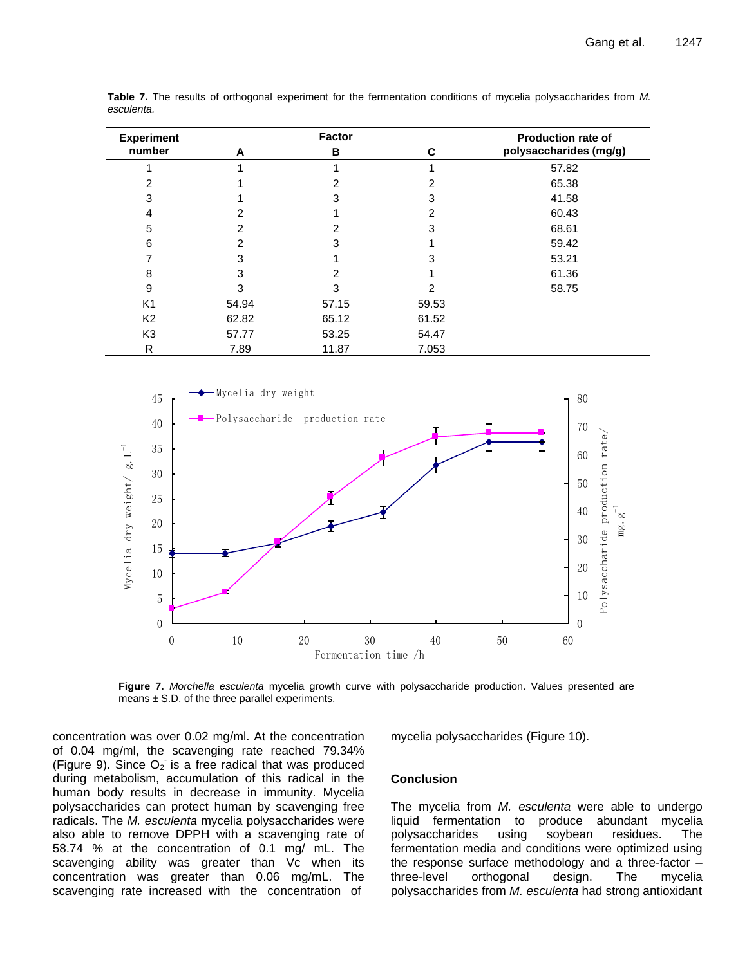| <b>Experiment</b> |       | <b>Factor</b> |       | Production rate of     |
|-------------------|-------|---------------|-------|------------------------|
| number            | A     | в             | C     | polysaccharides (mg/g) |
|                   |       |               |       | 57.82                  |
| 2                 |       |               |       | 65.38                  |
| 3                 |       |               | 3     | 41.58                  |
| 4                 |       |               | 2     | 60.43                  |
| 5                 | 2     |               | 3     | 68.61                  |
| 6                 | 2     | 3             |       | 59.42                  |
|                   | 3     |               | 3     | 53.21                  |
| 8                 | 3     |               |       | 61.36                  |
| 9                 | 3     |               | 2     | 58.75                  |
| K <sub>1</sub>    | 54.94 | 57.15         | 59.53 |                        |
| K <sub>2</sub>    | 62.82 | 65.12         | 61.52 |                        |
| K <sub>3</sub>    | 57.77 | 53.25         | 54.47 |                        |
| R                 | 7.89  | 11.87         | 7.053 |                        |

**Table 7.** The results of orthogonal experiment for the fermentation conditions of mycelia polysaccharides from *M. esculenta.*



**Figure 7.** *Morchella esculenta* mycelia growth curve with polysaccharide production. Values presented are means  $\pm$  S.D. of the three parallel experiments.

concentration was over 0.02 mg/ml. At the concentration of 0.04 mg/ml, the scavenging rate reached 79.34% (Figure 9). Since  $O_2$  is a free radical that was produced during metabolism, accumulation of this radical in the human body results in decrease in immunity. Mycelia polysaccharides can protect human by scavenging free radicals. The *M. esculenta* mycelia polysaccharides were also able to remove DPPH with a scavenging rate of 58.74 % at the concentration of 0.1 mg/ mL. The scavenging ability was greater than Vc when its concentration was greater than 0.06 mg/mL. The scavenging rate increased with the concentration of

mycelia polysaccharides (Figure 10).

#### **Conclusion**

The mycelia from *M. esculenta* were able to undergo liquid fermentation to produce abundant mycelia polysaccharides using soybean residues. The fermentation media and conditions were optimized using the response surface methodology and a three-factor – three-level orthogonal design. The mycelia polysaccharides from *M. esculenta* had strong antioxidant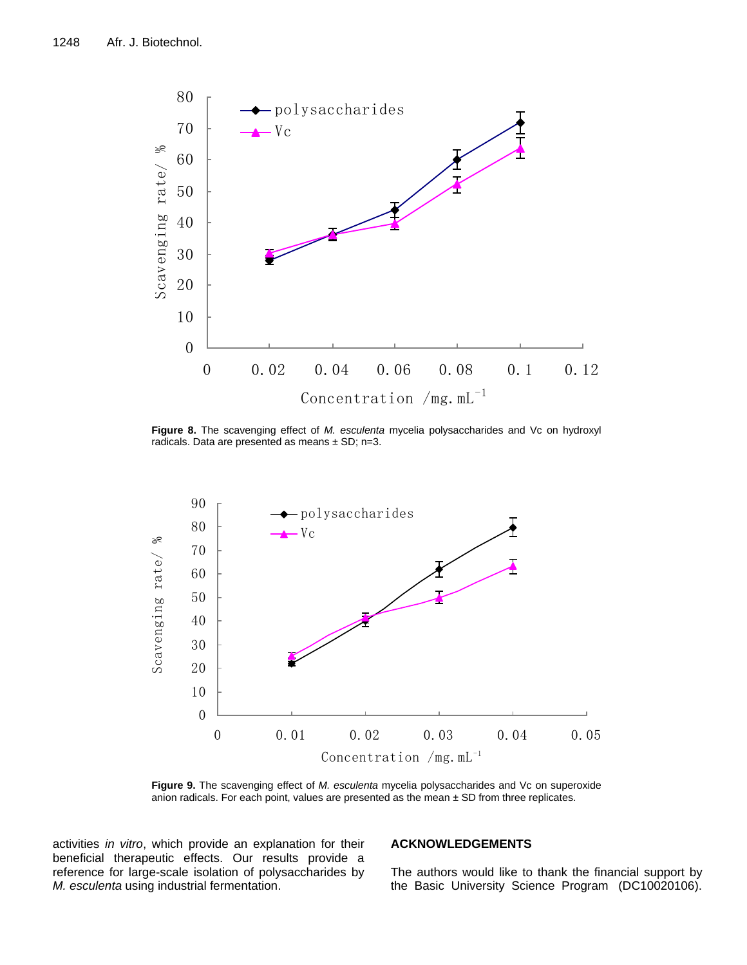

**Figure 8.** The scavenging effect of *M. esculenta* mycelia polysaccharides and Vc on hydroxyl radicals. Data are presented as means  $\pm$  SD; n=3.



**Figure 9.** The scavenging effect of *M. esculenta* mycelia polysaccharides and Vc on superoxide anion radicals. For each point, values are presented as the mean  $\pm$  SD from three replicates.

activities *in vitro*, which provide an explanation for their beneficial therapeutic effects. Our results provide a reference for large-scale isolation of polysaccharides by *M. esculenta* using industrial fermentation.

## **ACKNOWLEDGEMENTS**

The authors would like to thank the financial support by the Basic University Science Program (DC10020106).